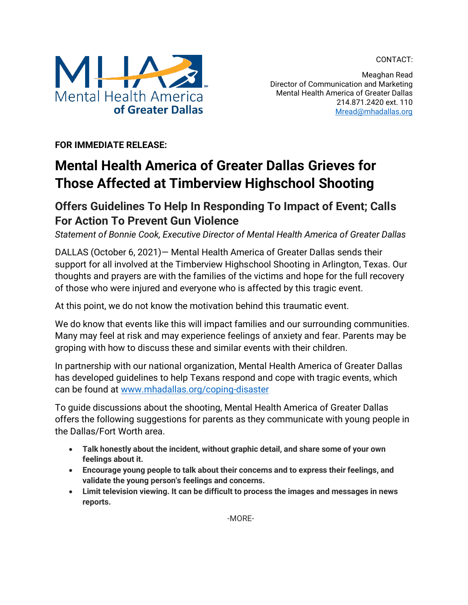CONTACT:



Meaghan Read Director of Communication and Marketing Mental Health America of Greater Dallas 214.871.2420 ext. 110 [Mread@mhadallas.org](mailto:Mread@mhadallas.org)

**FOR IMMEDIATE RELEASE:**

## **Mental Health America of Greater Dallas Grieves for Those Affected at Timberview Highschool Shooting**

## **Offers Guidelines To Help In Responding To Impact of Event; Calls For Action To Prevent Gun Violence**

*Statement of Bonnie Cook, Executive Director of Mental Health America of Greater Dallas*

DALLAS (October 6, 2021)— Mental Health America of Greater Dallas sends their support for all involved at the Timberview Highschool Shooting in Arlington, Texas. Our thoughts and prayers are with the families of the victims and hope for the full recovery of those who were injured and everyone who is affected by this tragic event.

At this point, we do not know the motivation behind this traumatic event.

We do know that events like this will impact families and our surrounding communities. Many may feel at risk and may experience feelings of anxiety and fear. Parents may be groping with how to discuss these and similar events with their children.

In partnership with our national organization, Mental Health America of Greater Dallas has developed guidelines to help Texans respond and cope with tragic events, which can be found at [www.mhadallas.org/coping-disaster](http://www.mhadallas.org/coping-disaster)

To guide discussions about the shooting, Mental Health America of Greater Dallas offers the following suggestions for parents as they communicate with young people in the Dallas/Fort Worth area.

- **Talk honestly about the incident, without graphic detail, and share some of your own feelings about it.**
- **Encourage young people to talk about their concerns and to express their feelings, and validate the young person's feelings and concerns.**
- **Limit television viewing. It can be difficult to process the images and messages in news reports.**